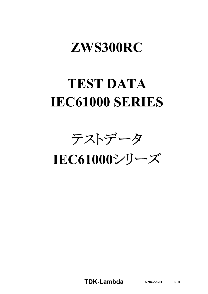# **ZWS300RC**

# **TEST DATA IEC61000 SERIES**

テストデータ

**IEC61000**シリーズ

**TDK-Lambda**  $A284-58-01$   $1/10$ 

**A284-58-01**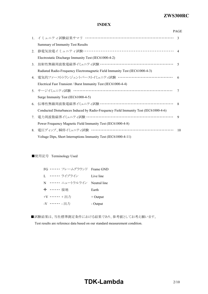# *RWS 50B-600B Series* **ZWS300RC**

## **INDEX**

|    |                                                                                      | <b>PAGE</b>    |
|----|--------------------------------------------------------------------------------------|----------------|
|    | 1. イミュニティ試験結果サマリ ………………………………………………………                                               | $\mathcal{E}$  |
|    | Summary of Immunity Test Results                                                     |                |
| 2. | 静電気放電イミュニティ試験 ………………………………………………………… 4                                               |                |
|    | Electrostatic Discharge Immunity Test (IEC61000-4-2)                                 |                |
| 3. | 放射性無線周波数電磁界イミュニティ試験 ………………………………………………                                               | $\overline{5}$ |
|    | Radiated Radio-Frequency Electromagnetic Field Immunity Test (IEC61000-4-3)          |                |
| 4. |                                                                                      | -6             |
|    | Electrical Fast Transient / Burst Immunity Test (IEC61000-4-4)                       |                |
|    | 5. サージイミュニティ試験 ……………………………………………………………                                               | 7              |
|    | Surge Immunity Test (IEC61000-4-5)                                                   |                |
| 6. | 伝導性無線周波数電磁界イミュニティ試験 ………………………………………………… 8                                            |                |
|    | Conducted Disturbances Induced by Radio-Frequency Field Immunity Test (IEC61000-4-6) |                |
| 7. | 電力周波数磁界イミュニティ試験 ………………………………………………………                                                | 9              |
|    | Power Frequency Magnetic Field Immunity Test (IEC61000-4-8)                          |                |
| 8. |                                                                                      | 10             |
|    | Voltage Dips, Short Interruptions Immunity Test (IEC61000-4-11)                      |                |

#### ■使用記号 Terminology Used

|            | FG …… フレームグラウンド Frame GND   |            |
|------------|-----------------------------|------------|
|            | L …… ライブライン                 | Live line  |
|            | N …… ニュートラルライン Neutral line |            |
| → …… 接地    |                             | Earth      |
| +V …… +出力  |                             | $+$ Output |
| -V …… - 出力 |                             | - Output   |

■試験結果は、当社標準測定条件における結果であり、参考値としてお考え願います。 Test results are reference data based on our standard measurement condition.

# **TDK-Lambda**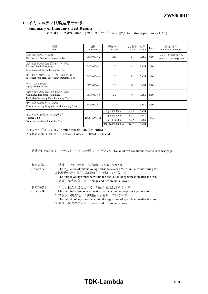# **1.** イミュニティ試験結果サマリ

# **Summary of Immunity Test Results**

**MODEL : ZWS300RC** (カタログオプション含む Including option model \*1)

| 項目<br>Item                                                                                      | 規格<br>Standard | 試験レベル<br>Test level | 判定基準<br>Criteria | 結果<br>Result | Page  | 備考、条件<br>Notes & Conditions               |
|-------------------------------------------------------------------------------------------------|----------------|---------------------|------------------|--------------|-------|-------------------------------------------|
| 静電気放電パュニティ試験<br>Electrostatic Discharge Immunity Test                                           | IEC61000-4-2   | 1,2,(3)             | B                | <b>PASS</b>  | 4/10  | レベル3:気中放電のみ<br>Level3: Air discharge only |
| 放射性無線周波数電磁界イミュニティ試験<br>Radiated Radio-Frequency<br>Electromagnetic Field Immunity Test          | IEC61000-4-3   | 1,2,3               | $\mathsf{A}$     | <b>PASS</b>  | 5/10  |                                           |
| 電気的ファーストランジェントバーストイミュニティ試験<br>Electrical Fast Transient / Burst Immunity Test                   | IEC61000-4-4   | 1,2,3               | B                | <b>PASS</b>  | 6/10  |                                           |
| サージイミュニティ試験<br>Surge Immunity Test                                                              | IEC61000-4-5   | 1,2,3               | B                | <b>PASS</b>  | 7/10  |                                           |
| 伝導性無線周波数電磁界イミュニティ試験<br>Conducted Disturbances Induced<br>by Radio-Frequency Field Immunity Test | IEC61000-4-6   | 1,2,3               | $\mathsf{A}$     | <b>PASS</b>  | 8/10  |                                           |
| 電力周波数磁界イシュティ試験<br>Power Frequency Magnetic Field Immunity Test                                  | IEC61000-4-8   | 1,2,3,4             | $\mathsf{A}$     | <b>PASS</b>  | 9/10  |                                           |
|                                                                                                 |                | Dip:30% 500ms       | A/A              | <b>PASS</b>  |       |                                           |
| 電圧ディップ、瞬停イシェティ試験 (*2)<br>Voltage Dips,                                                          | IEC61000-4-11  | Dip:60% 200ms       | B/A              | PASS         | 10/10 |                                           |
| Short Interruptions Immunity Test                                                               |                | Dip:100% 20ms       | A/A              | <b>PASS</b>  |       |                                           |
|                                                                                                 |                | Dip:100% 5000ms     | B/B              | PASS         |       |                                           |

(\*1) カタログオプション Option models : /R, /BM, /RBM

(\*2) 判定基準 : 100VAC / 230VAC Criteria : 100VAC / 230VAC

試験条件の詳細は、各テストページを参照してください。 Detail of test conditions refer to each test page.

| 判定基準A<br>Criteria A | 1.試験中、5%を超える出力電圧の変動のない事<br>The regulation of output voltage must not exceed 5% of initial value during test.<br>2.試験後の出力電圧は初期値から変動していない事<br>The output voltage must be within the regulation of specification after the test.<br>3. 発煙・発火のない事 Smoke and fire are not allowed. |
|---------------------|-------------------------------------------------------------------------------------------------------------------------------------------------------------------------------------------------------------------------------------------------------------------------------|
| 判定基準B<br>Criteria B | 1. 入力再投入を必要とする一時的な機能低下のない事<br>Must not have temporary function degradation that requires input restart.<br>2. 試験後の出力電圧は初期値から変動していない事<br>The output voltage must be within the regulation of specification after the test.                                                     |

3. 発煙・発火のない事 Smoke and fire are not allowed.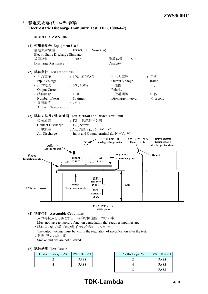# **2.** 静電気放電イミュニティ試験 **Electrostatic Discharge Immunity Test (IEC61000-4-2)**

**MODEL : ZWS300RC**



1.入力再投入を必要とする一時的な機能低下のない事 Must not have temporary function degradation that requires input restart.

2.試験後の出力電圧は初期値から変動していない事

The output voltage must be within the regulation of specification after the test.

3.発煙・発火のない事

Smoke and fire are not allowed.

|  | (5) 試験結果 Test Result |  |  |
|--|----------------------|--|--|
|--|----------------------|--|--|

| Contact Discharge (kV) | ZWS300RC-24 |
|------------------------|-------------|
|                        | <b>PASS</b> |
|                        | <b>PASS</b> |

| ZWS300RC-24 | Air Discharge $(kV)$ | ZWS300RC-24 |
|-------------|----------------------|-------------|
| <b>PASS</b> |                      | <b>PASS</b> |
| <b>PASS</b> |                      | <b>PASS</b> |
|             |                      | <b>PASS</b> |

# **TDK-Lambda** 4/10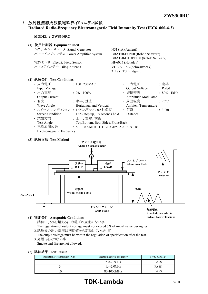# **3.** 放射性無線周波数電磁界イミュニティ試験 **Radiated Radio-Frequency Electromagnetic Field Immunity Test (IEC61000-4-3)**

**MODEL : ZWS300RC**

| (1) 使用計測器 Equipment Used                       |                                  |                                    |                 |
|------------------------------------------------|----------------------------------|------------------------------------|-----------------|
| シグナルジェネレータ Signal Generator                    |                                  | : N5181A (Agilent)                 |                 |
| パワーアンプシステム Power Amplifier System              |                                  | : BBA150-BC500 (Rohde Schwarz)     |                 |
|                                                |                                  | : BBA150-D110/E100 (Rohde Schwarz) |                 |
| 電界センサ Electric Field Sensor                    |                                  | : HI-6005 (Holaday)                |                 |
| バイログアンテナ Bilog Antenna                         |                                  | : VULP9118E (Schwarzbeck)          |                 |
|                                                |                                  | $: 3117$ (ETS Lindgren)            |                 |
| (2) 試験条件 Test Conditions                       |                                  |                                    |                 |
| • 入力電圧                                         | $: 100, 230$ VAC                 | • 出力電圧                             | : 定格            |
| Input Voltage                                  |                                  | Output Voltage                     | Rated           |
| • 出力電流                                         | $: 0\%$ , 100%                   | • 振幅変調 アンストリック                     | $: 80\%$ , 1kHz |
| <b>Output Current</b>                          |                                  | Amplitude Modulated                |                 |
| • 偏波                                           | : 水平、垂直                          | • 周囲温度                             | $: 25^{\circ}C$ |
| Wave Angle                                     | Horizontal and Vertical          | <b>Ambient Temperature</b>         |                 |
| • スイープ·コンディション: 1.0%ステップ、0.5秒保持                |                                  | • 距離                               | : 3.0m          |
| Sweep Condition 1.0% step up, 0.5 seconds hold |                                  | Distance                           |                 |
| • 試験方向                                         | : 上下、左右、前後                       |                                    |                 |
| Toet And                                       | Ton/Bottom Both Sides Front/Back |                                    |                 |

Test Angle Top/Bottom, Both Sides, Front/Back • 電磁界周波数 : 80 - 1000MHz、1.4 - 2.0GHz、2.0 - 2.7GHz

Electromagnetic Frequency





#### **(4)** 判定条件 **Acceptable Conditions**

1.試験中、5%を超える出力電圧の変動のない事 The regulation of output voltage must not exceed 5% of initial value during test.

2.試験後の出力電圧は初期値から変動していない事

The output voltage must be within the regulation of specification after the test.

3.発煙・発火のない事 Smoke and fire are not allowed.

# **(5)** 試験結果 **Test Result**

| Radiation Field Strength (V/m) | Electromagnetic Frequency | ZWS300RC-24 |  |  |  |
|--------------------------------|---------------------------|-------------|--|--|--|
|                                | $2.0 - 2.7$ GHz           | <b>PASS</b> |  |  |  |
|                                | $1.4 - 2.0$ GHz           | <b>PASS</b> |  |  |  |
|                                | 80-1000MHz                | <b>PASS</b> |  |  |  |

# **TDK-Lambda** 5/10

**reduce floor reflections**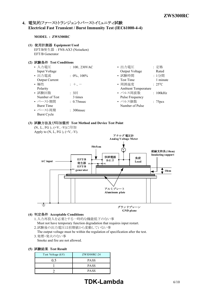# **4.** 電気的ファーストトランジェントバーストイミュニティ試験 **Electrical Fast Transient / Burst Immunity Test (IEC61000-4-4)**

**MODEL : ZWS300RC**

#### **(1)** 使用計測器 **Equipment Used**

EFT/B発生器 : FNS-AX3 (Noiseken) EFT/B Generator

#### **(2)** 試験条件 **Test Conditions**

| • 入力電圧                | $: 100, 230$ VAC | : 定格<br>• 出力電圧                  |  |
|-----------------------|------------------|---------------------------------|--|
| Input Voltage         |                  | Output Voltage<br>Rated         |  |
| • 出力電流                | $: 0\%$ , 100%   | • 試験時間<br>:1分間                  |  |
| <b>Output Current</b> |                  | 1 minute<br><b>Test Time</b>    |  |
| • 極性                  | $: +,-$          | • 周囲温度<br>$: 25^{\circ}C$       |  |
| Polarity              |                  | <b>Ambient Temperature</b>      |  |
| • 試験回数                | : 3回             | • パルス周波数<br>: 100kHz            |  |
| Number of Test        | 3 times          | Pulse Frequency                 |  |
| • バースト期間              | $: 0.75$ msec    | • パルス個数<br>: 75 <sub>pres</sub> |  |
| <b>Burst Time</b>     |                  | Number of Pulse                 |  |
| • バースト周期              | $: 300$ msec     |                                 |  |
| Burst Cycle           |                  |                                 |  |
|                       |                  |                                 |  |

#### **(3)** 試験方法及び印加箇所 **Test Method and Device Test Point**





### **(4)** 判定条件 **Acceptable Conditions**

- 1.入力再投入を必要とする一時的な機能低下のない事 Must not have temporary function degradation that requires input restart.
- 2.試験後の出力電圧は初期値から変動していない事
- The output voltage must be within the regulation of specification after the test. 3.発煙・発火のない事
- Smoke and fire are not allowed.

#### **(5)** 試験結果 **Test Result**

| Test Voltage (kV) | ZWS300RC-24 |  |  |  |
|-------------------|-------------|--|--|--|
| 1.5               | <b>PASS</b> |  |  |  |
|                   | <b>PASS</b> |  |  |  |
|                   | <b>PASS</b> |  |  |  |

# **TDK-Lambda** 6/10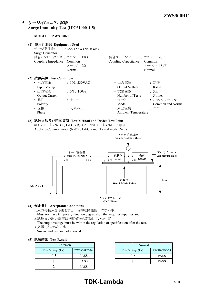# **5.** サージイミュニティ試験 **Surge Immunity Test (IEC61000-4-5)**

**MODEL : ZWS300RC**

| (1) 使用計測器 Equipment Used<br>Surge Generator | サージ発生器 : LSS-15AX (Noiseken)                     |                            |                   |
|---------------------------------------------|--------------------------------------------------|----------------------------|-------------------|
| 結合インピーダンス: コモン 12Ω                          |                                                  | 結合コンデンサ : コモン              | $9 \mu F$         |
| Coupling Impedance Common                   |                                                  | Coupling Capacitance       | Common            |
|                                             | ノーマル 2Ω                                          |                            | ノーマル 18µF         |
|                                             | Normal                                           |                            | Normal            |
| (2) 試験条件 Test Conditions                    |                                                  |                            |                   |
| • 入力電圧                                      | $: 100, 230$ VAC                                 | • 出力電圧                     | : 定格              |
| Input Voltage                               |                                                  | Output Voltage             | Rated             |
| • 出力電流                                      | $: 0\%$ , 100%                                   | • 試験回数                     | : 5               |
| <b>Output Current</b>                       |                                                  | Number of Tests            | 5 times           |
| • 極性                                        | $: +$                                            | • モード                      | : コモン、ノーマル        |
| Polarity                                    |                                                  | Mode                       | Common and Normal |
| • 位相                                        | $: 0, 90$ deg                                    | • 周囲温度                     | $: 25^{\circ}C$   |
| Phase                                       |                                                  | <b>Ambient Temperature</b> |                   |
|                                             | (2) 我脸七光五丝的血俗话 Tead Mathed and Device Tead Delut |                            |                   |

## **(3)** 試験方法及び印加箇所 **Test Method and Device Test Point**

コモンモード (N-FG 、L-FG ) 及びノーマルモード (N-L) に印加 Apply to Common mode (N-FG , L-FG ) and Normal mode (N-L).



## **(4)** 判定条件 **Acceptable Conditions**

- 1.入力再投入を必要とする一時的な機能低下のない事
- Must not have temporary function degradation that requires input restart.
- 2.試験後の出力電圧は初期値から変動していない事
- The output voltage must be within the regulation of specification after the test. 3.発煙・発火のない事
- Smoke and fire are not allowed.

# **(5)** 試験結果 **Test Result**

| Common            |             |  |  |  |  |  |  |
|-------------------|-------------|--|--|--|--|--|--|
| Test Voltage (kV) | ZWS300RC-24 |  |  |  |  |  |  |
| 0.5               | <b>PASS</b> |  |  |  |  |  |  |
|                   | <b>PASS</b> |  |  |  |  |  |  |
|                   | <b>PASS</b> |  |  |  |  |  |  |

| Normal            |             |  |  |  |  |  |  |  |
|-------------------|-------------|--|--|--|--|--|--|--|
| Test Voltage (kV) | ZWS300RC-24 |  |  |  |  |  |  |  |
| 0.5               | <b>PASS</b> |  |  |  |  |  |  |  |
|                   | <b>PASS</b> |  |  |  |  |  |  |  |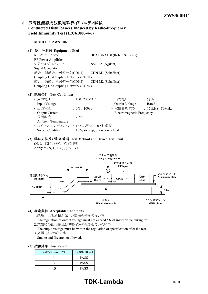# **6.** 伝導性無線周波数電磁界イミュニティ試験 **Conducted Disturbances Induced by Radio-Frequency Field Immunity Test (IEC61000-4-6)**

**MODEL : ZWS300RC (1)** 使用計測器 **Equipment Used** RF パワーアンプ : BBA150-A160 (Rohde Schwarz) RF Power Amplifier シグナルジェネレータ : N5181A (Agilent) Signal Generator 結合/減結合ネットワーク(CDN1) : CDN M3 (Schaffner) Coupling De-Coupling Network (CDN1) 結合/減結合ネットワーク(CDN2) : CDN M2 (Schaffner) Coupling De-Coupling Network (CDN2) **(2)** 試験条件 **Test Conditions** • 入力電圧 : 100、230VAC • 出力電圧 : 定格 Input Voltage Rated **Containers** Current Voltage Rated • 出力電流 : 0%、100% • 電磁界周波数 : 150kHz - 80MHz Output Current Electromagnetic Frequency • 周囲温度 : 25℃ Ambient Temperature • スイープ·コンディション : 1.0%ステップ、0.5秒保持 Sweep Condition 1.0% step up, 0.5 seconds hold **(3)** 試験方法及び印加箇所 **Test Method and Device Test Point** (N、L、FG ) 、(+V、-V) に印加 Apply to  $(N, L, FG)$ ,  $(+V, -V)$ . **0.1 ~ 0.3m** アナログ電圧計 **Analog voltage meter** 妨害波信号入力 **RF input**



#### **(4)** 判定条件 **Acceptable Conditions**

- 1.試験中、5%を超える出力電圧の変動のない事
	- The regulation of output voltage must not exceed 5% of initial value during test.
- 2.試験後の出力電圧は初期値から変動していない事 The output voltage must be within the regulation of specification after the test.
- 3.発煙・発火のない事
- Smoke and fire are not allowed.

#### **(5)** 試験結果 **Test Result**

| Voltage Level (V) | ZWS300RC-24 |
|-------------------|-------------|
|                   | <b>PASS</b> |
|                   | <b>PASS</b> |
|                   | <b>PASS</b> |

# **TDK-Lambda** 8/10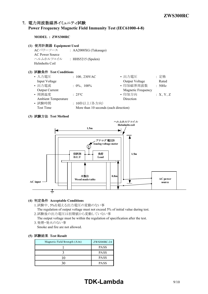# **7.** 電力周波数磁界イミュニティ試験 **Power Frequency Magnetic Field Immunity Test (IEC61000-4-8)**

**MODEL : ZWS300RC**

#### **(1)** 使用計測器 **Equipment Used**

ACパワーソース : AA2000XG (Takasago) AC Power Source ヘルムホルツコイル : HHS5215 (Spulen) Helmholts Coil

## **(2)** 試験条件 **Test Conditions**

| • 入力電圧                     | $: 100, 230$ VAC                      | • 出力電圧             | :定格      |
|----------------------------|---------------------------------------|--------------------|----------|
| Input Voltage              |                                       | Output Voltage     | Rated    |
| • 出力電流                     | $: 0\%$ , 100%                        | • 印加磁界周波数          | : 50Hz   |
| Output Current             |                                       | Magnetic Frequency |          |
| • 周囲温度                     | $: 25^{\circ}C$                       | • 印加方向             | :X, Y, Z |
| <b>Ambient Temperature</b> |                                       | Direction          |          |
| • 試験時間                     | : 10秒以上(各方向)                          |                    |          |
| Test Time                  | More than 10 seconds (each direction) |                    |          |
|                            |                                       |                    |          |

### **(3)** 試験方法 **Test Method**



#### **(4)** 判定条件 **Acceptable Conditions**

1.試験中、5%を超える出力電圧の変動のない事

The regulation of output voltage must not exceed 5% of initial value during test. 2.試験後の出力電圧は初期値から変動していない事

The output voltage must be within the regulation of specification after the test. 3.発煙・発火のない事

Smoke and fire are not allowed.

#### **(5)** 試験結果 **Test Result**

| Magnetic Field Strength $(A/m)$ | ZWS300RC-24 |
|---------------------------------|-------------|
|                                 | <b>PASS</b> |
|                                 | <b>PASS</b> |
|                                 | <b>PASS</b> |
|                                 | <b>PASS</b> |

# **TDK-Lambda** 9/10